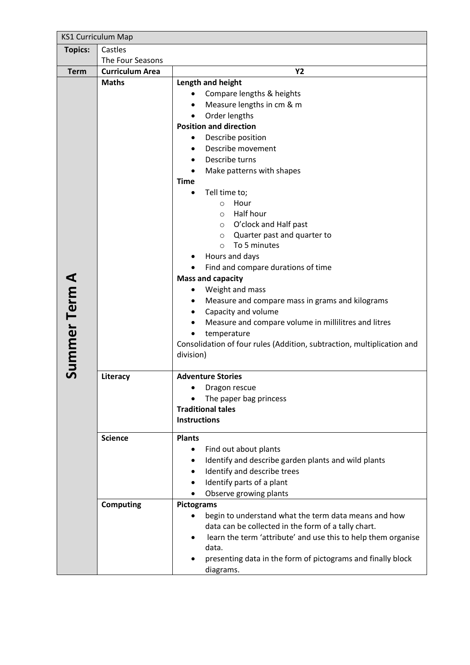| <b>KS1 Curriculum Map</b> |                        |                                                                                                                                                                                                                                                                                                                                                                                                                                                                                                                                                                                                                                                                                                                                                                             |  |  |  |
|---------------------------|------------------------|-----------------------------------------------------------------------------------------------------------------------------------------------------------------------------------------------------------------------------------------------------------------------------------------------------------------------------------------------------------------------------------------------------------------------------------------------------------------------------------------------------------------------------------------------------------------------------------------------------------------------------------------------------------------------------------------------------------------------------------------------------------------------------|--|--|--|
| <b>Topics:</b>            | Castles                |                                                                                                                                                                                                                                                                                                                                                                                                                                                                                                                                                                                                                                                                                                                                                                             |  |  |  |
|                           | The Four Seasons       |                                                                                                                                                                                                                                                                                                                                                                                                                                                                                                                                                                                                                                                                                                                                                                             |  |  |  |
| <b>Term</b>               | <b>Curriculum Area</b> | <b>Y2</b>                                                                                                                                                                                                                                                                                                                                                                                                                                                                                                                                                                                                                                                                                                                                                                   |  |  |  |
| <b>Summer Term A</b>      | <b>Maths</b>           | Length and height<br>Compare lengths & heights<br>Measure lengths in cm & m<br>Order lengths<br><b>Position and direction</b><br>Describe position<br>٠<br>Describe movement<br>Describe turns<br>Make patterns with shapes<br><b>Time</b><br>Tell time to;<br>$\bullet$<br>Hour<br>$\circ$<br>Half hour<br>$\circ$<br>O'clock and Half past<br>$\circ$<br>Quarter past and quarter to<br>$\circ$<br>To 5 minutes<br>$\circ$<br>Hours and days<br>Find and compare durations of time<br><b>Mass and capacity</b><br>Weight and mass<br>Measure and compare mass in grams and kilograms<br>Capacity and volume<br>Measure and compare volume in millilitres and litres<br>temperature<br>Consolidation of four rules (Addition, subtraction, multiplication and<br>division) |  |  |  |
|                           | Literacy               | <b>Adventure Stories</b><br>Dragon rescue<br>The paper bag princess<br><b>Traditional tales</b><br><b>Instructions</b>                                                                                                                                                                                                                                                                                                                                                                                                                                                                                                                                                                                                                                                      |  |  |  |
|                           | <b>Science</b>         | <b>Plants</b>                                                                                                                                                                                                                                                                                                                                                                                                                                                                                                                                                                                                                                                                                                                                                               |  |  |  |
|                           |                        | Find out about plants<br>Identify and describe garden plants and wild plants<br>٠<br>Identify and describe trees<br>Identify parts of a plant<br>Observe growing plants                                                                                                                                                                                                                                                                                                                                                                                                                                                                                                                                                                                                     |  |  |  |
|                           | <b>Computing</b>       | <b>Pictograms</b>                                                                                                                                                                                                                                                                                                                                                                                                                                                                                                                                                                                                                                                                                                                                                           |  |  |  |
|                           |                        | begin to understand what the term data means and how<br>data can be collected in the form of a tally chart.<br>learn the term 'attribute' and use this to help them organise<br>data.<br>presenting data in the form of pictograms and finally block<br>diagrams.                                                                                                                                                                                                                                                                                                                                                                                                                                                                                                           |  |  |  |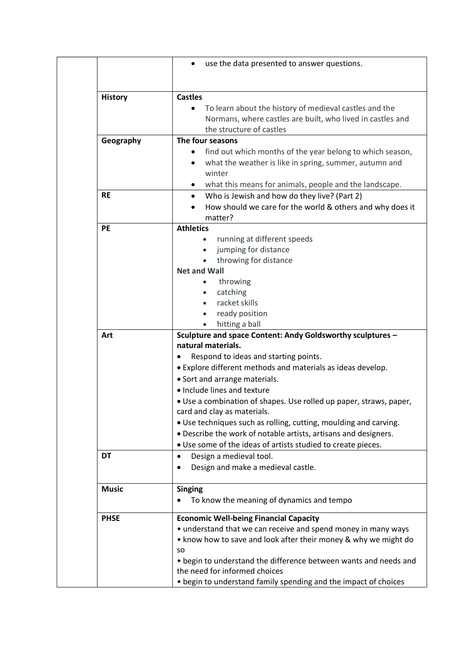|                | use the data presented to answer questions.<br>٠                                                                                                                                               |
|----------------|------------------------------------------------------------------------------------------------------------------------------------------------------------------------------------------------|
| <b>History</b> | <b>Castles</b>                                                                                                                                                                                 |
|                | To learn about the history of medieval castles and the<br>Normans, where castles are built, who lived in castles and<br>the structure of castles                                               |
| Geography      | The four seasons                                                                                                                                                                               |
|                | find out which months of the year belong to which season,<br>٠<br>what the weather is like in spring, summer, autumn and<br>winter<br>what this means for animals, people and the landscape.   |
| <b>RE</b>      | Who is Jewish and how do they live? (Part 2)<br>$\bullet$<br>How should we care for the world & others and why does it<br>matter?                                                              |
| <b>PE</b>      | <b>Athletics</b>                                                                                                                                                                               |
|                | running at different speeds<br>$\bullet$<br>jumping for distance<br>throwing for distance                                                                                                      |
|                | <b>Net and Wall</b>                                                                                                                                                                            |
|                | throwing<br>$\bullet$                                                                                                                                                                          |
|                | catching<br>$\bullet$<br>racket skills                                                                                                                                                         |
|                | ready position<br>$\bullet$                                                                                                                                                                    |
|                | hitting a ball<br>$\bullet$                                                                                                                                                                    |
| Art            | Sculpture and space Content: Andy Goldsworthy sculptures -                                                                                                                                     |
|                | natural materials.                                                                                                                                                                             |
|                | Respond to ideas and starting points.                                                                                                                                                          |
|                | • Explore different methods and materials as ideas develop.                                                                                                                                    |
|                | • Sort and arrange materials.<br>• Include lines and texture                                                                                                                                   |
|                | . Use a combination of shapes. Use rolled up paper, straws, paper,<br>card and clay as materials.                                                                                              |
|                | • Use techniques such as rolling, cutting, moulding and carving.                                                                                                                               |
|                | . Describe the work of notable artists, artisans and designers.                                                                                                                                |
| DT             | . Use some of the ideas of artists studied to create pieces.                                                                                                                                   |
|                | Design a medieval tool.<br>٠<br>Design and make a medieval castle.<br>٠                                                                                                                        |
| <b>Music</b>   | <b>Singing</b>                                                                                                                                                                                 |
|                | To know the meaning of dynamics and tempo                                                                                                                                                      |
| <b>PHSE</b>    | <b>Economic Well-being Financial Capacity</b><br>• understand that we can receive and spend money in many ways<br>• know how to save and look after their money & why we might do<br><b>SO</b> |
|                | • begin to understand the difference between wants and needs and<br>the need for informed choices                                                                                              |
|                | • begin to understand family spending and the impact of choices                                                                                                                                |